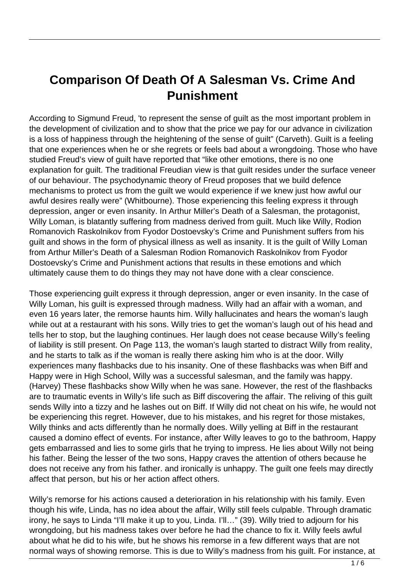## **Comparison Of Death Of A Salesman Vs. Crime And Punishment**

According to Sigmund Freud, 'to represent the sense of guilt as the most important problem in the development of civilization and to show that the price we pay for our advance in civilization is a loss of happiness through the heightening of the sense of guilt" (Carveth). Guilt is a feeling that one experiences when he or she regrets or feels bad about a wrongdoing. Those who have studied Freud's view of guilt have reported that "like other emotions, there is no one explanation for guilt. The traditional Freudian view is that guilt resides under the surface veneer of our behaviour. The psychodynamic theory of Freud proposes that we build defence mechanisms to protect us from the guilt we would experience if we knew just how awful our awful desires really were" (Whitbourne). Those experiencing this feeling express it through depression, anger or even insanity. In Arthur Miller's Death of a Salesman, the protagonist, Willy Loman, is blatantly suffering from madness derived from guilt. Much like Willy, Rodion Romanovich Raskolnikov from Fyodor Dostoevsky's Crime and Punishment suffers from his guilt and shows in the form of physical illness as well as insanity. It is the guilt of Willy Loman from Arthur Miller's Death of a Salesman Rodion Romanovich Raskolnikov from Fyodor Dostoevsky's Crime and Punishment actions that results in these emotions and which ultimately cause them to do things they may not have done with a clear conscience.

Those experiencing guilt express it through depression, anger or even insanity. In the case of Willy Loman, his guilt is expressed through madness. Willy had an affair with a woman, and even 16 years later, the remorse haunts him. Willy hallucinates and hears the woman's laugh while out at a restaurant with his sons. Willy tries to get the woman's laugh out of his head and tells her to stop, but the laughing continues. Her laugh does not cease because Willy's feeling of liability is still present. On Page 113, the woman's laugh started to distract Willy from reality, and he starts to talk as if the woman is really there asking him who is at the door. Willy experiences many flashbacks due to his insanity. One of these flashbacks was when Biff and Happy were in High School, Willy was a successful salesman, and the family was happy. (Harvey) These flashbacks show Willy when he was sane. However, the rest of the flashbacks are to traumatic events in Willy's life such as Biff discovering the affair. The reliving of this guilt sends Willy into a tizzy and he lashes out on Biff. If Willy did not cheat on his wife, he would not be experiencing this regret. However, due to his mistakes, and his regret for those mistakes, Willy thinks and acts differently than he normally does. Willy yelling at Biff in the restaurant caused a domino effect of events. For instance, after Willy leaves to go to the bathroom, Happy gets embarrassed and lies to some girls that he trying to impress. He lies about Willy not being his father. Being the lesser of the two sons, Happy craves the attention of others because he does not receive any from his father. and ironically is unhappy. The guilt one feels may directly affect that person, but his or her action affect others.

Willy's remorse for his actions caused a deterioration in his relationship with his family. Even though his wife, Linda, has no idea about the affair, Willy still feels culpable. Through dramatic irony, he says to Linda "I'll make it up to you, Linda. I'll…" (39). Willy tried to adjourn for his wrongdoing, but his madness takes over before he had the chance to fix it. Willy feels awful about what he did to his wife, but he shows his remorse in a few different ways that are not normal ways of showing remorse. This is due to Willy's madness from his guilt. For instance, at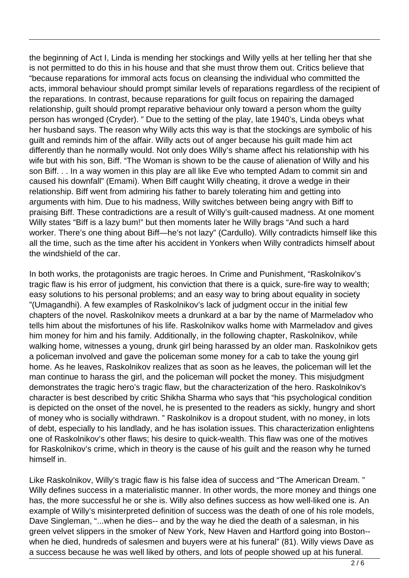the beginning of Act I, Linda is mending her stockings and Willy yells at her telling her that she is not permitted to do this in his house and that she must throw them out. Critics believe that "because reparations for immoral acts focus on cleansing the individual who committed the acts, immoral behaviour should prompt similar levels of reparations regardless of the recipient of the reparations. In contrast, because reparations for guilt focus on repairing the damaged relationship, guilt should prompt reparative behaviour only toward a person whom the guilty person has wronged (Cryder). " Due to the setting of the play, late 1940's, Linda obeys what her husband says. The reason why Willy acts this way is that the stockings are symbolic of his guilt and reminds him of the affair. Willy acts out of anger because his guilt made him act differently than he normally would. Not only does Willy's shame affect his relationship with his wife but with his son, Biff. "The Woman is shown to be the cause of alienation of Willy and his son Biff. . . In a way women in this play are all like Eve who tempted Adam to commit sin and caused his downfall" (Emami). When Biff caught Willy cheating, it drove a wedge in their relationship. Biff went from admiring his father to barely tolerating him and getting into arguments with him. Due to his madness, Willy switches between being angry with Biff to praising Biff. These contradictions are a result of Willy's guilt-caused madness. At one moment Willy states "Biff is a lazy bum!" but then moments later he Willy brags "And such a hard worker. There's one thing about Biff—he's not lazy" (Cardullo). Willy contradicts himself like this all the time, such as the time after his accident in Yonkers when Willy contradicts himself about the windshield of the car.

In both works, the protagonists are tragic heroes. In Crime and Punishment, "Raskolnikov's tragic flaw is his error of judgment, his conviction that there is a quick, sure-fire way to wealth; easy solutions to his personal problems; and an easy way to bring about equality in society "(Umagandhi). A few examples of Raskolnikov's lack of judgment occur in the initial few chapters of the novel. Raskolnikov meets a drunkard at a bar by the name of Marmeladov who tells him about the misfortunes of his life. Raskolnikov walks home with Marmeladov and gives him money for him and his family. Additionally, in the following chapter, Raskolnikov, while walking home, witnesses a young, drunk girl being harassed by an older man. Raskolnikov gets a policeman involved and gave the policeman some money for a cab to take the young girl home. As he leaves, Raskolnikov realizes that as soon as he leaves, the policeman will let the man continue to harass the girl, and the policeman will pocket the money. This misjudgment demonstrates the tragic hero's tragic flaw, but the characterization of the hero. Raskolnikov's character is best described by critic Shikha Sharma who says that "his psychological condition is depicted on the onset of the novel, he is presented to the readers as sickly, hungry and short of money who is socially withdrawn. " Raskolnikov is a dropout student, with no money, in lots of debt, especially to his landlady, and he has isolation issues. This characterization enlightens one of Raskolnikov's other flaws; his desire to quick-wealth. This flaw was one of the motives for Raskolnikov's crime, which in theory is the cause of his guilt and the reason why he turned himself in.

Like Raskolnikov, Willy's tragic flaw is his false idea of success and "The American Dream. " Willy defines success in a materialistic manner. In other words, the more money and things one has, the more successful he or she is. Willy also defines success as how well-liked one is. An example of Willy's misinterpreted definition of success was the death of one of his role models, Dave Singleman, "...when he dies-- and by the way he died the death of a salesman, in his green velvet slippers in the smoker of New York, New Haven and Hartford going into Boston- when he died, hundreds of salesmen and buyers were at his funeral" (81). Willy views Dave as a success because he was well liked by others, and lots of people showed up at his funeral.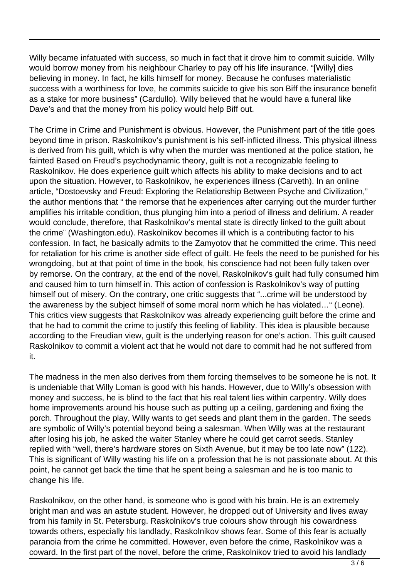Willy became infatuated with success, so much in fact that it drove him to commit suicide. Willy would borrow money from his neighbour Charley to pay off his life insurance. "[Willy] dies believing in money. In fact, he kills himself for money. Because he confuses materialistic success with a worthiness for love, he commits suicide to give his son Biff the insurance benefit as a stake for more business" (Cardullo). Willy believed that he would have a funeral like Dave's and that the money from his policy would help Biff out.

The Crime in Crime and Punishment is obvious. However, the Punishment part of the title goes beyond time in prison. Raskolnikov's punishment is his self-inflicted illness. This physical illness is derived from his guilt, which is why when the murder was mentioned at the police station, he fainted Based on Freud's psychodynamic theory, guilt is not a recognizable feeling to Raskolnikov. He does experience guilt which affects his ability to make decisions and to act upon the situation. However, to Raskolnikov, he experiences illness (Carveth). In an online article, "Dostoevsky and Freud: Exploring the Relationship Between Psyche and Civilization," the author mentions that " the remorse that he experiences after carrying out the murder further amplifies his irritable condition, thus plunging him into a period of illness and delirium. A reader would conclude, therefore, that Raskolnikov's mental state is directly linked to the guilt about the crime¨ (Washington.edu). Raskolnikov becomes ill which is a contributing factor to his confession. In fact, he basically admits to the Zamyotov that he committed the crime. This need for retaliation for his crime is another side effect of guilt. He feels the need to be punished for his wrongdoing, but at that point of time in the book, his conscience had not been fully taken over by remorse. On the contrary, at the end of the novel, Raskolnikov's guilt had fully consumed him and caused him to turn himself in. This action of confession is Raskolnikov's way of putting himself out of misery. On the contrary, one critic suggests that "...crime will be understood by the awareness by the subject himself of some moral norm which he has violated…" (Leone). This critics view suggests that Raskolnikov was already experiencing guilt before the crime and that he had to commit the crime to justify this feeling of liability. This idea is plausible because according to the Freudian view, guilt is the underlying reason for one's action. This guilt caused Raskolnikov to commit a violent act that he would not dare to commit had he not suffered from it.

The madness in the men also derives from them forcing themselves to be someone he is not. It is undeniable that Willy Loman is good with his hands. However, due to Willy's obsession with money and success, he is blind to the fact that his real talent lies within carpentry. Willy does home improvements around his house such as putting up a ceiling, gardening and fixing the porch. Throughout the play, Willy wants to get seeds and plant them in the garden. The seeds are symbolic of Willy's potential beyond being a salesman. When Willy was at the restaurant after losing his job, he asked the waiter Stanley where he could get carrot seeds. Stanley replied with "well, there's hardware stores on Sixth Avenue, but it may be too late now" (122). This is significant of Willy wasting his life on a profession that he is not passionate about. At this point, he cannot get back the time that he spent being a salesman and he is too manic to change his life.

Raskolnikov, on the other hand, is someone who is good with his brain. He is an extremely bright man and was an astute student. However, he dropped out of University and lives away from his family in St. Petersburg. Raskolnikov's true colours show through his cowardness towards others, especially his landlady, Raskolnikov shows fear. Some of this fear is actually paranoia from the crime he committed. However, even before the crime, Raskolnikov was a coward. In the first part of the novel, before the crime, Raskolnikov tried to avoid his landlady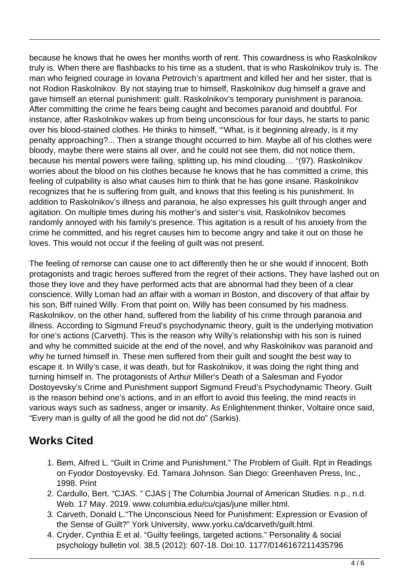because he knows that he owes her months worth of rent. This cowardness is who Raskolnikov truly is. When there are flashbacks to his time as a student, that is who Raskolnikov truly is. The man who feigned courage in Iovana Petrovich's apartment and killed her and her sister, that is not Rodion Raskolnikov. By not staying true to himself, Raskolnikov dug himself a grave and gave himself an eternal punishment: guilt. Raskolnikov's temporary punishment is paranoia. After committing the crime he fears being caught and becomes paranoid and doubtful. For instance, after Raskolnikov wakes up from being unconscious for four days, he starts to panic over his blood-stained clothes. He thinks to himself, "'What, is it beginning already, is it my penalty approaching?... Then a strange thought occurred to him. Maybe all of his clothes were bloody, maybe there were stains all over, and he could not see them, did not notice them, because his mental powers were failing, splitting up, his mind clouding… "(97). Raskolnikov worries about the blood on his clothes because he knows that he has committed a crime, this feeling of culpability is also what causes him to think that he has gone insane. Raskolnikov recognizes that he is suffering from guilt, and knows that this feeling is his punishment. In addition to Raskolnikov's illness and paranoia, he also expresses his guilt through anger and agitation. On multiple times during his mother's and sister's visit, Raskolnikov becomes randomly annoyed with his family's presence. This agitation is a result of his anxiety from the crime he committed, and his regret causes him to become angry and take it out on those he loves. This would not occur if the feeling of guilt was not present.

The feeling of remorse can cause one to act differently then he or she would if innocent. Both protagonists and tragic heroes suffered from the regret of their actions. They have lashed out on those they love and they have performed acts that are abnormal had they been of a clear conscience. Willy Loman had an affair with a woman in Boston, and discovery of that affair by his son, Biff ruined Willy. From that point on, Willy has been consumed by his madness. Raskolnikov, on the other hand, suffered from the liability of his crime through paranoia and illness. According to Sigmund Freud's psychodynamic theory, guilt is the underlying motivation for one's actions (Carveth). This is the reason why Willy's relationship with his son is ruined and why he committed suicide at the end of the novel, and why Raskolnikov was paranoid and why he turned himself in. These men suffered from their guilt and sought the best way to escape it. In Willy's case, it was death, but for Raskolnikov, it was doing the right thing and turning himself in. The protagonists of Arthur Miller's Death of a Salesman and Fyodor Dostoyevsky's Crime and Punishment support Sigmund Freud's Psychodynamic Theory. Guilt is the reason behind one's actions, and in an effort to avoid this feeling, the mind reacts in various ways such as sadness, anger or insanity. As Enlightenment thinker, Voltaire once said, "Every man is guilty of all the good he did not do" (Sarkis).

## **Works Cited**

- 1. Bem, Alfred L. "Guilt in Crime and Punishment." The Problem of Guilt. Rpt in Readings on Fyodor Dostoyevsky. Ed. Tamara Johnson. San Diego: Greenhaven Press, Inc., 1998. Print
- 2. Cardullo, Bert. "CJAS. " CJAS | The Columbia Journal of American Studies. n.p., n.d. Web. 17 May. 2019. www.columbia.edu/cu/cjas/june miller.html.
- 3. Carveth, Donald L."The Unconscious Need for Punishment: Expression or Evasion of the Sense of Guilt?" York University, www.yorku.ca/dcarveth/guilt.html.
- 4. Cryder, Cynthia E et al. "Guilty feelings, targeted actions." Personality & social psychology bulletin vol. 38,5 (2012): 607-18. Doi:10. 1177/0146167211435796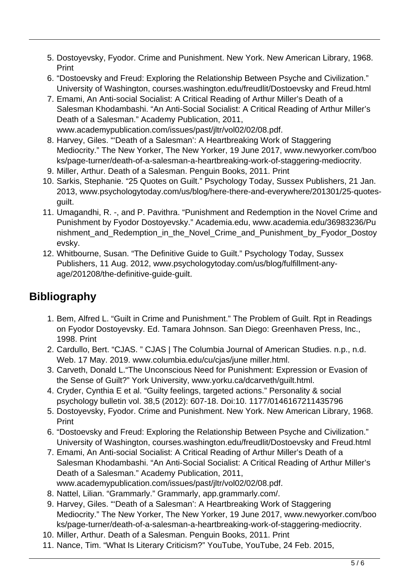- 5. Dostoyevsky, Fyodor. Crime and Punishment. New York. New American Library, 1968. Print
- 6. "Dostoevsky and Freud: Exploring the Relationship Between Psyche and Civilization." University of Washington, courses.washington.edu/freudlit/Dostoevsky and Freud.html
- 7. Emami, An Anti-social Socialist: A Critical Reading of Arthur Miller's Death of a Salesman Khodambashi. "An Anti-Social Socialist: A Critical Reading of Arthur Miller's Death of a Salesman." Academy Publication, 2011, www.academypublication.com/issues/past/jltr/vol02/02/08.pdf.
- 8. Harvey, Giles. "'Death of a Salesman': A Heartbreaking Work of Staggering Mediocrity." The New Yorker, The New Yorker, 19 June 2017, www.newyorker.com/boo ks/page-turner/death-of-a-salesman-a-heartbreaking-work-of-staggering-mediocrity.
- 9. Miller, Arthur. Death of a Salesman. Penguin Books, 2011. Print
- 10. Sarkis, Stephanie. "25 Quotes on Guilt." Psychology Today, Sussex Publishers, 21 Jan. 2013, www.psychologytoday.com/us/blog/here-there-and-everywhere/201301/25-quotesguilt.
- 11. Umagandhi, R. -, and P. Pavithra. "Punishment and Redemption in the Novel Crime and Punishment by Fyodor Dostoyevsky." Academia.edu, www.academia.edu/36983236/Pu nishment\_and\_Redemption\_in\_the\_Novel\_Crime\_and\_Punishment\_by\_Fyodor\_Dostoy evsky.
- 12. Whitbourne, Susan. "The Definitive Guide to Guilt." Psychology Today, Sussex Publishers, 11 Aug. 2012, www.psychologytoday.com/us/blog/fulfillment-anyage/201208/the-definitive-guide-guilt.

## **Bibliography**

- 1. Bem, Alfred L. "Guilt in Crime and Punishment." The Problem of Guilt. Rpt in Readings on Fyodor Dostoyevsky. Ed. Tamara Johnson. San Diego: Greenhaven Press, Inc., 1998. Print
- 2. Cardullo, Bert. "CJAS. " CJAS | The Columbia Journal of American Studies. n.p., n.d. Web. 17 May. 2019. www.columbia.edu/cu/cjas/june miller.html.
- 3. Carveth, Donald L."The Unconscious Need for Punishment: Expression or Evasion of the Sense of Guilt?" York University, www.yorku.ca/dcarveth/guilt.html.
- 4. Cryder, Cynthia E et al. "Guilty feelings, targeted actions." Personality & social psychology bulletin vol. 38,5 (2012): 607-18. Doi:10. 1177/0146167211435796
- 5. Dostoyevsky, Fyodor. Crime and Punishment. New York. New American Library, 1968. Print
- 6. "Dostoevsky and Freud: Exploring the Relationship Between Psyche and Civilization." University of Washington, courses.washington.edu/freudlit/Dostoevsky and Freud.html
- 7. Emami, An Anti-social Socialist: A Critical Reading of Arthur Miller's Death of a Salesman Khodambashi. "An Anti-Social Socialist: A Critical Reading of Arthur Miller's Death of a Salesman." Academy Publication, 2011, www.academypublication.com/issues/past/jltr/vol02/02/08.pdf.
- 8. Nattel, Lilian. "Grammarly." Grammarly, app.grammarly.com/.
- 9. Harvey, Giles. "'Death of a Salesman': A Heartbreaking Work of Staggering Mediocrity." The New Yorker, The New Yorker, 19 June 2017, www.newyorker.com/boo ks/page-turner/death-of-a-salesman-a-heartbreaking-work-of-staggering-mediocrity.
- 10. Miller, Arthur. Death of a Salesman. Penguin Books, 2011. Print
- 11. Nance, Tim. "What Is Literary Criticism?" YouTube, YouTube, 24 Feb. 2015,